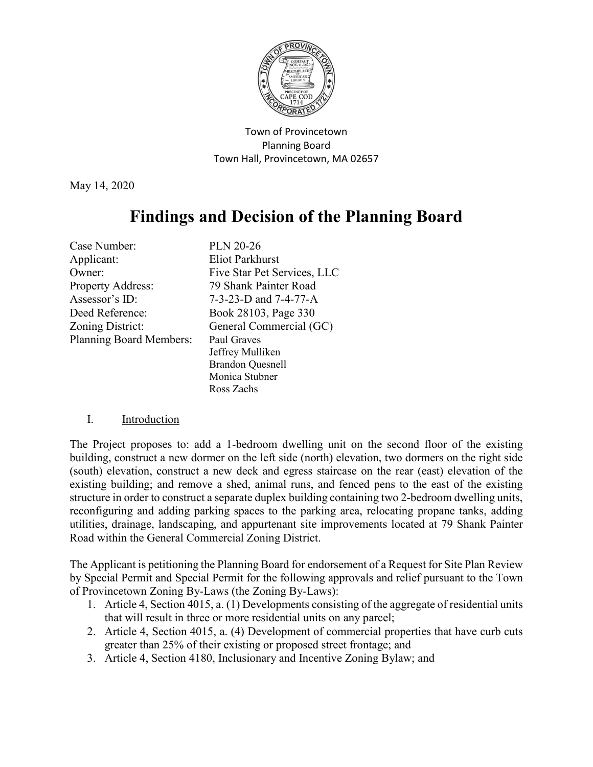

Town of Provincetown Planning Board Town Hall, Provincetown, MA 02657

May 14, 2020

# **Findings and Decision of the Planning Board**

| Case Number:             | <b>PLN 20-26</b>            |
|--------------------------|-----------------------------|
| Applicant:               | Eliot Parkhurst             |
| Owner:                   | Five Star Pet Services, LLC |
| <b>Property Address:</b> | 79 Shank Painter Road       |
| Assessor's ID:           | 7-3-23-D and 7-4-77-A       |
| Deed Reference:          | Book 28103, Page 330        |
| Zoning District:         | General Commercial (GC)     |
| Planning Board Members:  | Paul Graves                 |
|                          | Jeffrey Mulliken            |
|                          | <b>Brandon Quesnell</b>     |
|                          | Monica Stubner              |
|                          | Ross Zachs                  |

#### I. Introduction

The Project proposes to: add a 1-bedroom dwelling unit on the second floor of the existing building, construct a new dormer on the left side (north) elevation, two dormers on the right side (south) elevation, construct a new deck and egress staircase on the rear (east) elevation of the existing building; and remove a shed, animal runs, and fenced pens to the east of the existing structure in order to construct a separate duplex building containing two 2-bedroom dwelling units, reconfiguring and adding parking spaces to the parking area, relocating propane tanks, adding utilities, drainage, landscaping, and appurtenant site improvements located at 79 Shank Painter Road within the General Commercial Zoning District.

The Applicant is petitioning the Planning Board for endorsement of a Request for Site Plan Review by Special Permit and Special Permit for the following approvals and relief pursuant to the Town of Provincetown Zoning By-Laws (the Zoning By-Laws):

- 1. Article 4, Section 4015, a. (1) Developments consisting of the aggregate of residential units that will result in three or more residential units on any parcel;
- 2. Article 4, Section 4015, a. (4) Development of commercial properties that have curb cuts greater than 25% of their existing or proposed street frontage; and
- 3. Article 4, Section 4180, Inclusionary and Incentive Zoning Bylaw; and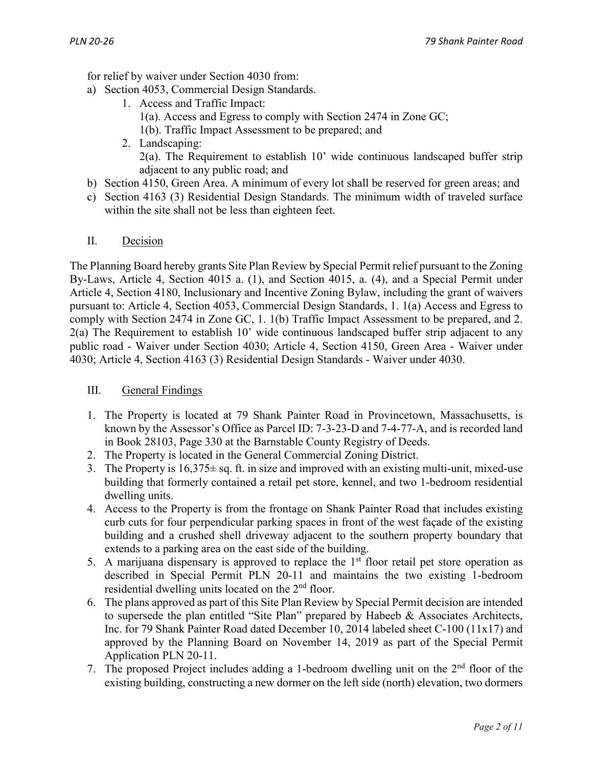for relief by waiver under Section 4030 from:

- a) Section 4053, Commercial Design Standards.
	- 1. Access and Traffic Impact:
		- 1(a). Access and Egress to comply with Section 2474 in Zone GC;
		- 1(b). Traffic Impact Assessment to be prepared; and
	- 2. Landscaping: 2(a). The Requirement to establish 10' wide continuous landscaped buffer strip adjacent to any public road; and
- b) Section 4150, Green Area. A minimum of every lot shall be reserved for green areas; and
- c) Section 4163 (3) Residential Design Standards. The minimum width of traveled surface within the site shall not be less than eighteen feet.
- II. Decision

The Planning Board hereby grants Site Plan Review by Special Permit relief pursuant to the Zoning By-Laws, Article 4, Section 4015 a. (1), and Section 4015, a. (4), and a Special Permit under Article 4, Section 4180, Inclusionary and Incentive Zoning Bylaw, including the grant of waivers pursuant to: Article 4, Section 4053, Commercial Design Standards, 1. 1(a) Access and Egress to comply with Section 2474 in Zone GC, 1. 1(b) Traffic Impact Assessment to be prepared, and 2. 2(a) The Requirement to establish 10' wide continuous landscaped buffer strip adjacent to any public road - Waiver under Section 4030; Article 4, Section 4150, Green Area - Waiver under 4030; Article 4, Section 4163 (3) Residential Design Standards - Waiver under 4030.

#### III. General Findings

- 1. The Property is located at 79 Shank Painter Road in Provincetown, Massachusetts, is known by the Assessor's Office as Parcel ID: 7-3-23-D and 7-4-77-A, and is recorded land in Book 28103, Page 330 at the Barnstable County Registry of Deeds.
- 2. The Property is located in the General Commercial Zoning District.
- 3. The Property is  $16,375 \pm$  sq. ft. in size and improved with an existing multi-unit, mixed-use building that formerly contained a retail pet store, kennel, and two 1-bedroom residential dwelling units.
- 4. Access to the Property is from the frontage on Shank Painter Road that includes existing curb cuts for four perpendicular parking spaces in front of the west façade of the existing building and a crushed shell driveway adjacent to the southern property boundary that extends to a parking area on the east side of the building.
- 5. A marijuana dispensary is approved to replace the  $1<sup>st</sup>$  floor retail pet store operation as described in Special Permit PLN 20-11 and maintains the two existing 1-bedroom residential dwelling units located on the 2<sup>nd</sup> floor.
- 6. The plans approved as part of this Site Plan Review by Special Permit decision are intended to supersede the plan entitled "Site Plan" prepared by Habeeb & Associates Architects, Inc. for 79 Shank Painter Road dated December 10, 2014 labeled sheet C-100 (11x17) and approved by the Planning Board on November 14, 2019 as part of the Special Permit Application PLN 20-11.
- 7. The proposed Project includes adding a 1-bedroom dwelling unit on the  $2<sup>nd</sup>$  floor of the existing building, constructing a new dormer on the left side (north) elevation, two dormers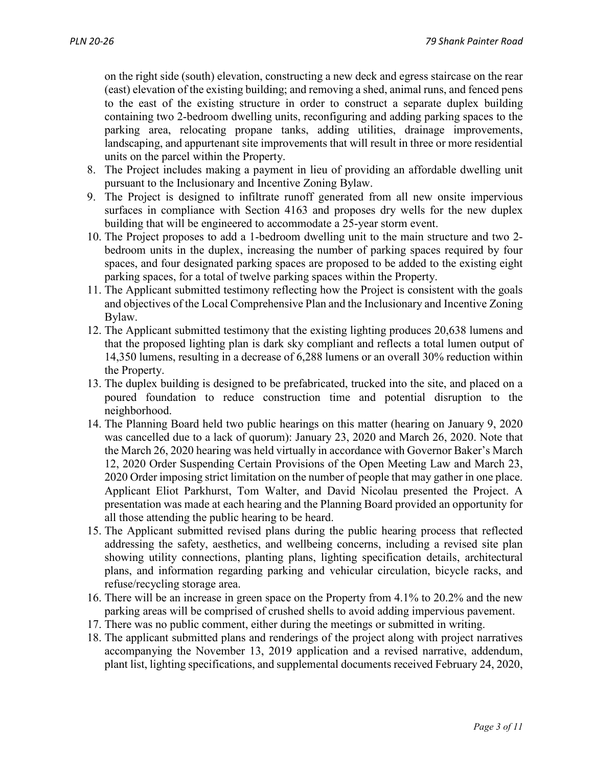on the right side (south) elevation, constructing a new deck and egress staircase on the rear (east) elevation of the existing building; and removing a shed, animal runs, and fenced pens to the east of the existing structure in order to construct a separate duplex building containing two 2-bedroom dwelling units, reconfiguring and adding parking spaces to the parking area, relocating propane tanks, adding utilities, drainage improvements, landscaping, and appurtenant site improvements that will result in three or more residential units on the parcel within the Property.

- 8. The Project includes making a payment in lieu of providing an affordable dwelling unit pursuant to the Inclusionary and Incentive Zoning Bylaw.
- 9. The Project is designed to infiltrate runoff generated from all new onsite impervious surfaces in compliance with Section 4163 and proposes dry wells for the new duplex building that will be engineered to accommodate a 25-year storm event.
- 10. The Project proposes to add a 1-bedroom dwelling unit to the main structure and two 2 bedroom units in the duplex, increasing the number of parking spaces required by four spaces, and four designated parking spaces are proposed to be added to the existing eight parking spaces, for a total of twelve parking spaces within the Property.
- 11. The Applicant submitted testimony reflecting how the Project is consistent with the goals and objectives of the Local Comprehensive Plan and the Inclusionary and Incentive Zoning Bylaw.
- 12. The Applicant submitted testimony that the existing lighting produces 20,638 lumens and that the proposed lighting plan is dark sky compliant and reflects a total lumen output of 14,350 lumens, resulting in a decrease of 6,288 lumens or an overall 30% reduction within the Property.
- 13. The duplex building is designed to be prefabricated, trucked into the site, and placed on a poured foundation to reduce construction time and potential disruption to the neighborhood.
- 14. The Planning Board held two public hearings on this matter (hearing on January 9, 2020 was cancelled due to a lack of quorum): January 23, 2020 and March 26, 2020. Note that the March 26, 2020 hearing was held virtually in accordance with Governor Baker's March 12, 2020 Order Suspending Certain Provisions of the Open Meeting Law and March 23, 2020 Order imposing strict limitation on the number of people that may gather in one place. Applicant Eliot Parkhurst, Tom Walter, and David Nicolau presented the Project. A presentation was made at each hearing and the Planning Board provided an opportunity for all those attending the public hearing to be heard.
- 15. The Applicant submitted revised plans during the public hearing process that reflected addressing the safety, aesthetics, and wellbeing concerns, including a revised site plan showing utility connections, planting plans, lighting specification details, architectural plans, and information regarding parking and vehicular circulation, bicycle racks, and refuse/recycling storage area.
- 16. There will be an increase in green space on the Property from 4.1% to 20.2% and the new parking areas will be comprised of crushed shells to avoid adding impervious pavement.
- 17. There was no public comment, either during the meetings or submitted in writing.
- 18. The applicant submitted plans and renderings of the project along with project narratives accompanying the November 13, 2019 application and a revised narrative, addendum, plant list, lighting specifications, and supplemental documents received February 24, 2020,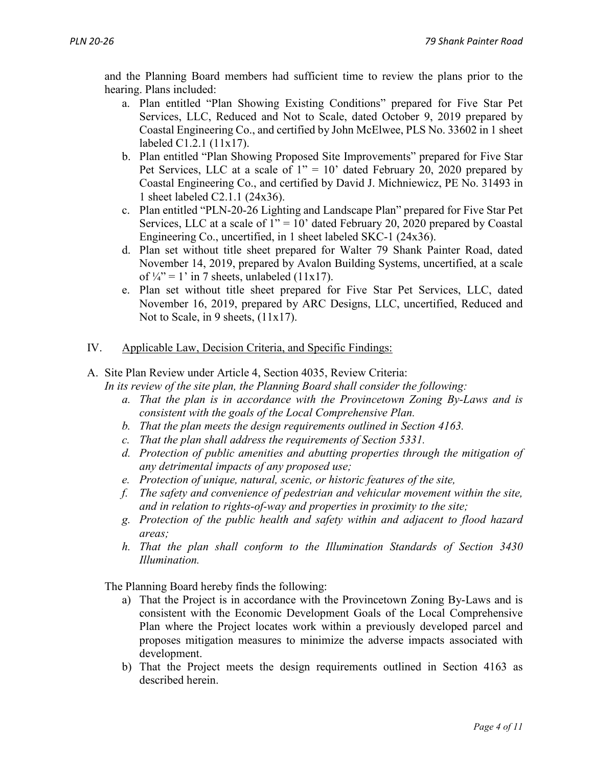and the Planning Board members had sufficient time to review the plans prior to the hearing. Plans included:

- a. Plan entitled "Plan Showing Existing Conditions" prepared for Five Star Pet Services, LLC, Reduced and Not to Scale, dated October 9, 2019 prepared by Coastal Engineering Co., and certified by John McElwee, PLS No. 33602 in 1 sheet labeled C1.2.1 (11x17).
- b. Plan entitled "Plan Showing Proposed Site Improvements" prepared for Five Star Pet Services, LLC at a scale of  $1'' = 10'$  dated February 20, 2020 prepared by Coastal Engineering Co., and certified by David J. Michniewicz, PE No. 31493 in 1 sheet labeled C2.1.1 (24x36).
- c. Plan entitled "PLN-20-26 Lighting and Landscape Plan" prepared for Five Star Pet Services, LLC at a scale of  $1'' = 10'$  dated February 20, 2020 prepared by Coastal Engineering Co., uncertified, in 1 sheet labeled SKC-1 (24x36).
- d. Plan set without title sheet prepared for Walter 79 Shank Painter Road, dated November 14, 2019, prepared by Avalon Building Systems, uncertified, at a scale of  $\frac{1}{4}$ " = 1' in 7 sheets, unlabeled (11x17).
- e. Plan set without title sheet prepared for Five Star Pet Services, LLC, dated November 16, 2019, prepared by ARC Designs, LLC, uncertified, Reduced and Not to Scale, in 9 sheets, (11x17).
- IV. Applicable Law, Decision Criteria, and Specific Findings:

#### A. Site Plan Review under Article 4, Section 4035, Review Criteria:

*In its review of the site plan, the Planning Board shall consider the following:*

- *a. That the plan is in accordance with the Provincetown Zoning By-Laws and is consistent with the goals of the Local Comprehensive Plan.*
- *b. That the plan meets the design requirements outlined in Section 4163.*
- *c. That the plan shall address the requirements of Section 5331.*
- *d. Protection of public amenities and abutting properties through the mitigation of any detrimental impacts of any proposed use;*
- *e. Protection of unique, natural, scenic, or historic features of the site,*
- *f. The safety and convenience of pedestrian and vehicular movement within the site, and in relation to rights-of-way and properties in proximity to the site;*
- *g. Protection of the public health and safety within and adjacent to flood hazard areas;*
- *h. That the plan shall conform to the Illumination Standards of Section 3430 Illumination.*

The Planning Board hereby finds the following:

- a) That the Project is in accordance with the Provincetown Zoning By-Laws and is consistent with the Economic Development Goals of the Local Comprehensive Plan where the Project locates work within a previously developed parcel and proposes mitigation measures to minimize the adverse impacts associated with development.
- b) That the Project meets the design requirements outlined in Section 4163 as described herein.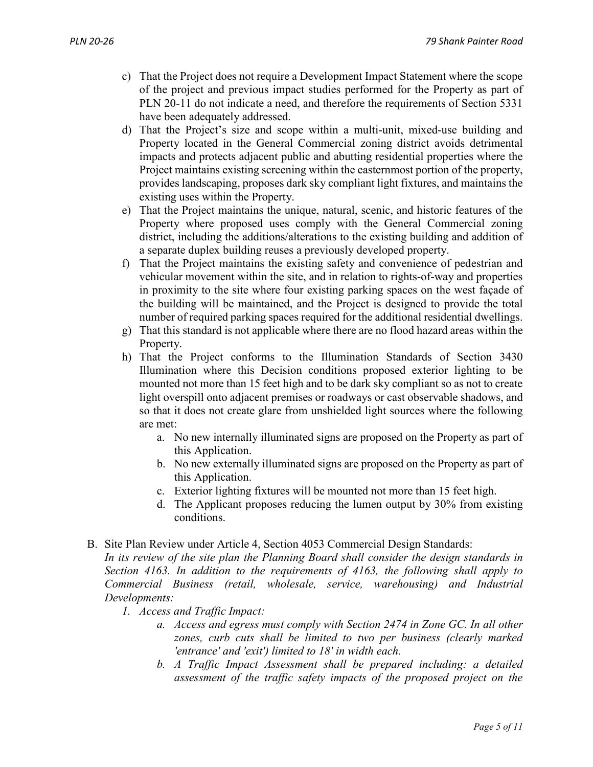- c) That the Project does not require a Development Impact Statement where the scope of the project and previous impact studies performed for the Property as part of PLN 20-11 do not indicate a need, and therefore the requirements of Section 5331 have been adequately addressed.
- d) That the Project's size and scope within a multi-unit, mixed-use building and Property located in the General Commercial zoning district avoids detrimental impacts and protects adjacent public and abutting residential properties where the Project maintains existing screening within the easternmost portion of the property, provides landscaping, proposes dark sky compliant light fixtures, and maintains the existing uses within the Property.
- e) That the Project maintains the unique, natural, scenic, and historic features of the Property where proposed uses comply with the General Commercial zoning district, including the additions/alterations to the existing building and addition of a separate duplex building reuses a previously developed property.
- f) That the Project maintains the existing safety and convenience of pedestrian and vehicular movement within the site, and in relation to rights-of-way and properties in proximity to the site where four existing parking spaces on the west façade of the building will be maintained, and the Project is designed to provide the total number of required parking spaces required for the additional residential dwellings.
- g) That this standard is not applicable where there are no flood hazard areas within the Property.
- h) That the Project conforms to the Illumination Standards of Section 3430 Illumination where this Decision conditions proposed exterior lighting to be mounted not more than 15 feet high and to be dark sky compliant so as not to create light overspill onto adjacent premises or roadways or cast observable shadows, and so that it does not create glare from unshielded light sources where the following are met:
	- a. No new internally illuminated signs are proposed on the Property as part of this Application.
	- b. No new externally illuminated signs are proposed on the Property as part of this Application.
	- c. Exterior lighting fixtures will be mounted not more than 15 feet high.
	- d. The Applicant proposes reducing the lumen output by 30% from existing conditions.
- B. Site Plan Review under Article 4, Section 4053 Commercial Design Standards: *In its review of the site plan the Planning Board shall consider the design standards in Section 4163. In addition to the requirements of 4163, the following shall apply to Commercial Business (retail, wholesale, service, warehousing) and Industrial Developments:*
	- *1. Access and Traffic Impact:*
		- *a. Access and egress must comply with Section 2474 in Zone GC. In all other zones, curb cuts shall be limited to two per business (clearly marked 'entrance' and 'exit') limited to 18' in width each.*
		- *b. A Traffic Impact Assessment shall be prepared including: a detailed assessment of the traffic safety impacts of the proposed project on the*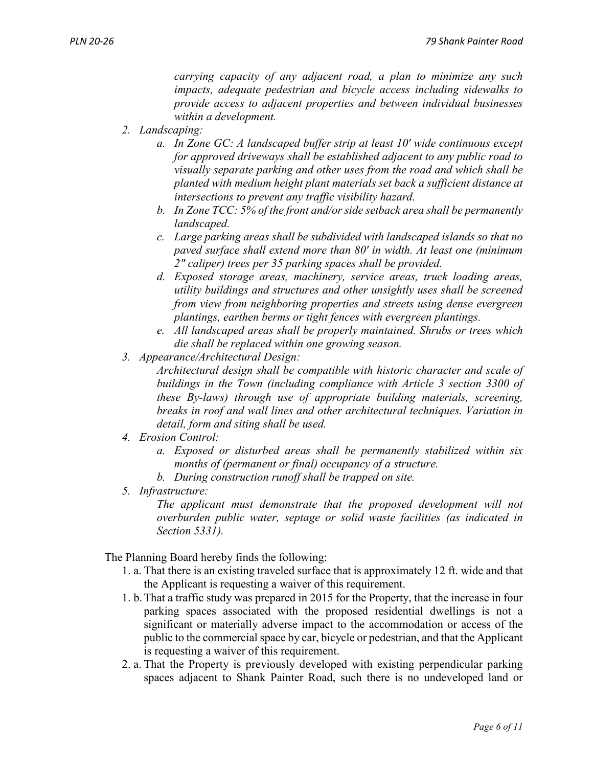*carrying capacity of any adjacent road, a plan to minimize any such impacts, adequate pedestrian and bicycle access including sidewalks to provide access to adjacent properties and between individual businesses within a development.*

- *2. Landscaping:*
	- *a. In Zone GC: A landscaped buffer strip at least 10' wide continuous except for approved driveways shall be established adjacent to any public road to visually separate parking and other uses from the road and which shall be planted with medium height plant materials set back a sufficient distance at intersections to prevent any traffic visibility hazard.*
	- *b. In Zone TCC: 5% of the front and/or side setback area shall be permanently landscaped.*
	- *c. Large parking areas shall be subdivided with landscaped islands so that no paved surface shall extend more than 80' in width. At least one (minimum 2" caliper) trees per 35 parking spaces shall be provided.*
	- *d. Exposed storage areas, machinery, service areas, truck loading areas, utility buildings and structures and other unsightly uses shall be screened from view from neighboring properties and streets using dense evergreen plantings, earthen berms or tight fences with evergreen plantings.*
	- *e. All landscaped areas shall be properly maintained. Shrubs or trees which die shall be replaced within one growing season.*
- *3. Appearance/Architectural Design:*

*Architectural design shall be compatible with historic character and scale of buildings in the Town (including compliance with Article 3 section 3300 of these By-laws) through use of appropriate building materials, screening, breaks in roof and wall lines and other architectural techniques. Variation in detail, form and siting shall be used.*

- *4. Erosion Control:*
	- *a. Exposed or disturbed areas shall be permanently stabilized within six months of (permanent or final) occupancy of a structure.*
	- *b. During construction runoff shall be trapped on site.*
- *5. Infrastructure:*

*The applicant must demonstrate that the proposed development will not overburden public water, septage or solid waste facilities (as indicated in Section 5331).*

The Planning Board hereby finds the following:

- 1. a. That there is an existing traveled surface that is approximately 12 ft. wide and that the Applicant is requesting a waiver of this requirement.
- 1. b.That a traffic study was prepared in 2015 for the Property, that the increase in four parking spaces associated with the proposed residential dwellings is not a significant or materially adverse impact to the accommodation or access of the public to the commercial space by car, bicycle or pedestrian, and that the Applicant is requesting a waiver of this requirement.
- 2. a. That the Property is previously developed with existing perpendicular parking spaces adjacent to Shank Painter Road, such there is no undeveloped land or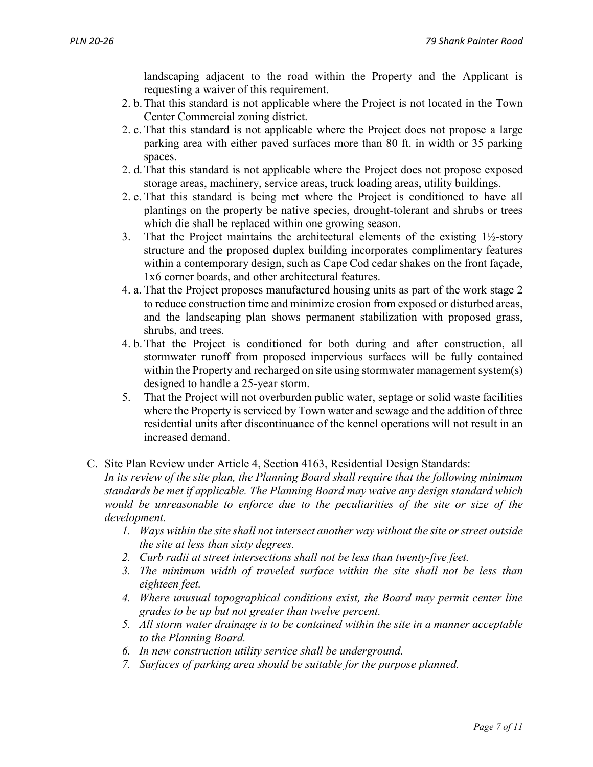landscaping adjacent to the road within the Property and the Applicant is requesting a waiver of this requirement.

- 2. b.That this standard is not applicable where the Project is not located in the Town Center Commercial zoning district.
- 2. c. That this standard is not applicable where the Project does not propose a large parking area with either paved surfaces more than 80 ft. in width or 35 parking spaces.
- 2. d.That this standard is not applicable where the Project does not propose exposed storage areas, machinery, service areas, truck loading areas, utility buildings.
- 2. e. That this standard is being met where the Project is conditioned to have all plantings on the property be native species, drought-tolerant and shrubs or trees which die shall be replaced within one growing season.
- 3. That the Project maintains the architectural elements of the existing  $1\frac{1}{2}$ -story structure and the proposed duplex building incorporates complimentary features within a contemporary design, such as Cape Cod cedar shakes on the front façade, 1x6 corner boards, and other architectural features.
- 4. a. That the Project proposes manufactured housing units as part of the work stage 2 to reduce construction time and minimize erosion from exposed or disturbed areas, and the landscaping plan shows permanent stabilization with proposed grass, shrubs, and trees.
- 4. b.That the Project is conditioned for both during and after construction, all stormwater runoff from proposed impervious surfaces will be fully contained within the Property and recharged on site using stormwater management system(s) designed to handle a 25-year storm.
- 5. That the Project will not overburden public water, septage or solid waste facilities where the Property is serviced by Town water and sewage and the addition of three residential units after discontinuance of the kennel operations will not result in an increased demand.
- C. Site Plan Review under Article 4, Section 4163, Residential Design Standards:

*In its review of the site plan, the Planning Board shall require that the following minimum standards be met if applicable. The Planning Board may waive any design standard which would be unreasonable to enforce due to the peculiarities of the site or size of the development.*

- *1. Ways within the site shall not intersect another way without the site or street outside the site at less than sixty degrees.*
- *2. Curb radii at street intersections shall not be less than twenty-five feet.*
- *3. The minimum width of traveled surface within the site shall not be less than eighteen feet.*
- *4. Where unusual topographical conditions exist, the Board may permit center line grades to be up but not greater than twelve percent.*
- *5. All storm water drainage is to be contained within the site in a manner acceptable to the Planning Board.*
- *6. In new construction utility service shall be underground.*
- *7. Surfaces of parking area should be suitable for the purpose planned.*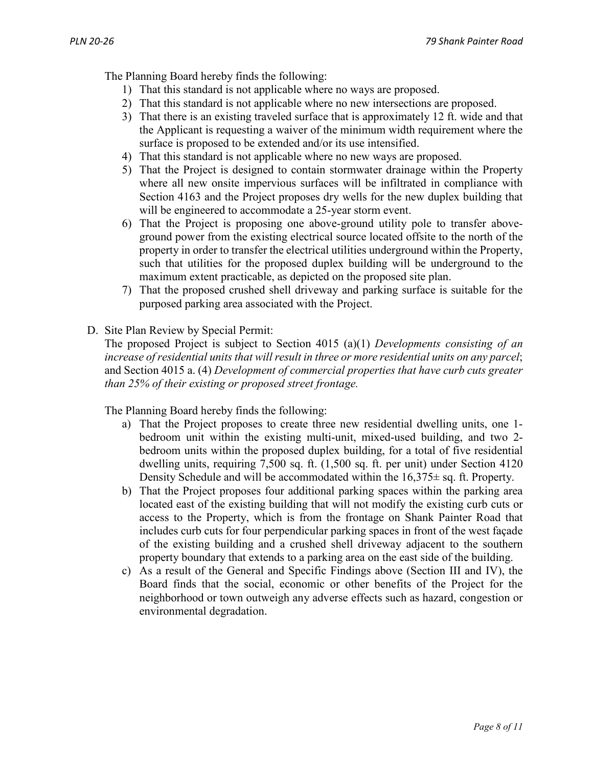The Planning Board hereby finds the following:

- 1) That this standard is not applicable where no ways are proposed.
- 2) That this standard is not applicable where no new intersections are proposed.
- 3) That there is an existing traveled surface that is approximately 12 ft. wide and that the Applicant is requesting a waiver of the minimum width requirement where the surface is proposed to be extended and/or its use intensified.
- 4) That this standard is not applicable where no new ways are proposed.
- 5) That the Project is designed to contain stormwater drainage within the Property where all new onsite impervious surfaces will be infiltrated in compliance with Section 4163 and the Project proposes dry wells for the new duplex building that will be engineered to accommodate a 25-year storm event.
- 6) That the Project is proposing one above-ground utility pole to transfer aboveground power from the existing electrical source located offsite to the north of the property in order to transfer the electrical utilities underground within the Property, such that utilities for the proposed duplex building will be underground to the maximum extent practicable, as depicted on the proposed site plan.
- 7) That the proposed crushed shell driveway and parking surface is suitable for the purposed parking area associated with the Project.
- D. Site Plan Review by Special Permit:

The proposed Project is subject to Section 4015 (a)(1) *Developments consisting of an increase of residential units that will result in three or more residential units on any parcel*; and Section 4015 a. (4) *Development of commercial properties that have curb cuts greater than 25% of their existing or proposed street frontage.*

The Planning Board hereby finds the following:

- a) That the Project proposes to create three new residential dwelling units, one 1 bedroom unit within the existing multi-unit, mixed-used building, and two 2 bedroom units within the proposed duplex building, for a total of five residential dwelling units, requiring 7,500 sq. ft. (1,500 sq. ft. per unit) under Section 4120 Density Schedule and will be accommodated within the  $16.375 \pm$  sq. ft. Property.
- b) That the Project proposes four additional parking spaces within the parking area located east of the existing building that will not modify the existing curb cuts or access to the Property, which is from the frontage on Shank Painter Road that includes curb cuts for four perpendicular parking spaces in front of the west façade of the existing building and a crushed shell driveway adjacent to the southern property boundary that extends to a parking area on the east side of the building.
- c) As a result of the General and Specific Findings above (Section III and IV), the Board finds that the social, economic or other benefits of the Project for the neighborhood or town outweigh any adverse effects such as hazard, congestion or environmental degradation.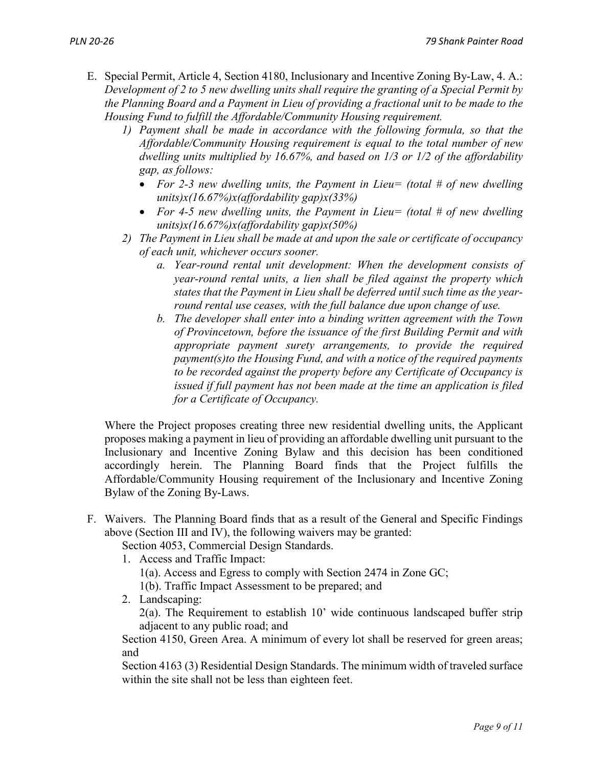- E. Special Permit, Article 4, Section 4180, Inclusionary and Incentive Zoning By-Law, 4. A.: *Development of 2 to 5 new dwelling units shall require the granting of a Special Permit by the Planning Board and a Payment in Lieu of providing a fractional unit to be made to the Housing Fund to fulfill the Affordable/Community Housing requirement.*
	- *1) Payment shall be made in accordance with the following formula, so that the Affordable/Community Housing requirement is equal to the total number of new dwelling units multiplied by 16.67%, and based on 1/3 or 1/2 of the affordability gap, as follows:*
		- *For 2-3 new dwelling units, the Payment in Lieu= (total # of new dwelling units)x(16.67%)x(affordability gap)x(33%)*
		- *For 4-5 new dwelling units, the Payment in Lieu= (total # of new dwelling units)x(16.67%)x(affordability gap)x(50%)*
	- *2) The Payment in Lieu shall be made at and upon the sale or certificate of occupancy of each unit, whichever occurs sooner.*
		- *a. Year-round rental unit development: When the development consists of year-round rental units, a lien shall be filed against the property which states that the Payment in Lieu shall be deferred until such time as the yearround rental use ceases, with the full balance due upon change of use.*
		- *b. The developer shall enter into a binding written agreement with the Town of Provincetown, before the issuance of the first Building Permit and with appropriate payment surety arrangements, to provide the required payment(s)to the Housing Fund, and with a notice of the required payments to be recorded against the property before any Certificate of Occupancy is issued if full payment has not been made at the time an application is filed for a Certificate of Occupancy.*

Where the Project proposes creating three new residential dwelling units, the Applicant proposes making a payment in lieu of providing an affordable dwelling unit pursuant to the Inclusionary and Incentive Zoning Bylaw and this decision has been conditioned accordingly herein. The Planning Board finds that the Project fulfills the Affordable/Community Housing requirement of the Inclusionary and Incentive Zoning Bylaw of the Zoning By-Laws.

F. Waivers. The Planning Board finds that as a result of the General and Specific Findings above (Section III and IV), the following waivers may be granted:

Section 4053, Commercial Design Standards.

- 1. Access and Traffic Impact: 1(a). Access and Egress to comply with Section 2474 in Zone GC; 1(b). Traffic Impact Assessment to be prepared; and
- 2. Landscaping:

2(a). The Requirement to establish 10' wide continuous landscaped buffer strip adjacent to any public road; and

Section 4150, Green Area. A minimum of every lot shall be reserved for green areas; and

Section 4163 (3) Residential Design Standards. The minimum width of traveled surface within the site shall not be less than eighteen feet.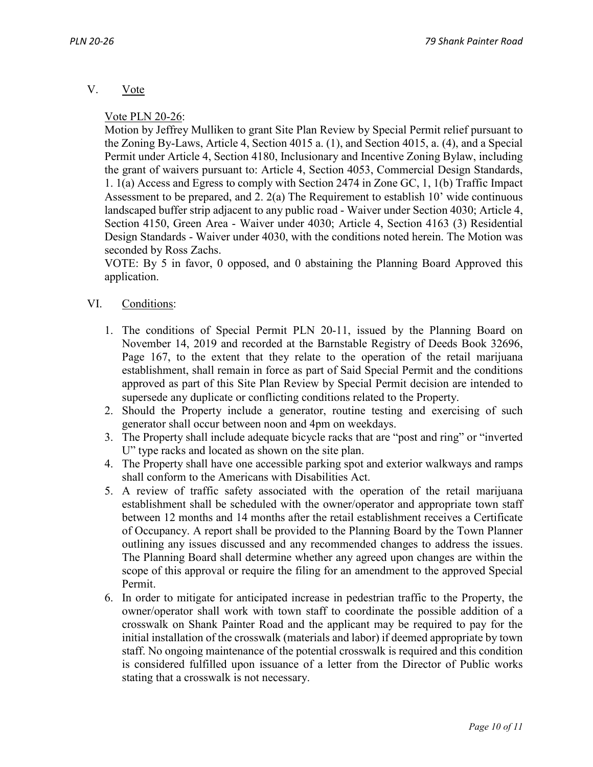## V. Vote

### Vote PLN 20-26:

Motion by Jeffrey Mulliken to grant Site Plan Review by Special Permit relief pursuant to the Zoning By-Laws, Article 4, Section 4015 a. (1), and Section 4015, a. (4), and a Special Permit under Article 4, Section 4180, Inclusionary and Incentive Zoning Bylaw, including the grant of waivers pursuant to: Article 4, Section 4053, Commercial Design Standards, 1. 1(a) Access and Egress to comply with Section 2474 in Zone GC, 1, 1(b) Traffic Impact Assessment to be prepared, and 2. 2(a) The Requirement to establish 10' wide continuous landscaped buffer strip adjacent to any public road - Waiver under Section 4030; Article 4, Section 4150, Green Area - Waiver under 4030; Article 4, Section 4163 (3) Residential Design Standards - Waiver under 4030, with the conditions noted herein. The Motion was seconded by Ross Zachs.

VOTE: By 5 in favor, 0 opposed, and 0 abstaining the Planning Board Approved this application.

## VI. Conditions:

- 1. The conditions of Special Permit PLN 20-11, issued by the Planning Board on November 14, 2019 and recorded at the Barnstable Registry of Deeds Book 32696, Page 167, to the extent that they relate to the operation of the retail marijuana establishment, shall remain in force as part of Said Special Permit and the conditions approved as part of this Site Plan Review by Special Permit decision are intended to supersede any duplicate or conflicting conditions related to the Property.
- 2. Should the Property include a generator, routine testing and exercising of such generator shall occur between noon and 4pm on weekdays.
- 3. The Property shall include adequate bicycle racks that are "post and ring" or "inverted U" type racks and located as shown on the site plan.
- 4. The Property shall have one accessible parking spot and exterior walkways and ramps shall conform to the Americans with Disabilities Act.
- 5. A review of traffic safety associated with the operation of the retail marijuana establishment shall be scheduled with the owner/operator and appropriate town staff between 12 months and 14 months after the retail establishment receives a Certificate of Occupancy. A report shall be provided to the Planning Board by the Town Planner outlining any issues discussed and any recommended changes to address the issues. The Planning Board shall determine whether any agreed upon changes are within the scope of this approval or require the filing for an amendment to the approved Special Permit.
- 6. In order to mitigate for anticipated increase in pedestrian traffic to the Property, the owner/operator shall work with town staff to coordinate the possible addition of a crosswalk on Shank Painter Road and the applicant may be required to pay for the initial installation of the crosswalk (materials and labor) if deemed appropriate by town staff. No ongoing maintenance of the potential crosswalk is required and this condition is considered fulfilled upon issuance of a letter from the Director of Public works stating that a crosswalk is not necessary.